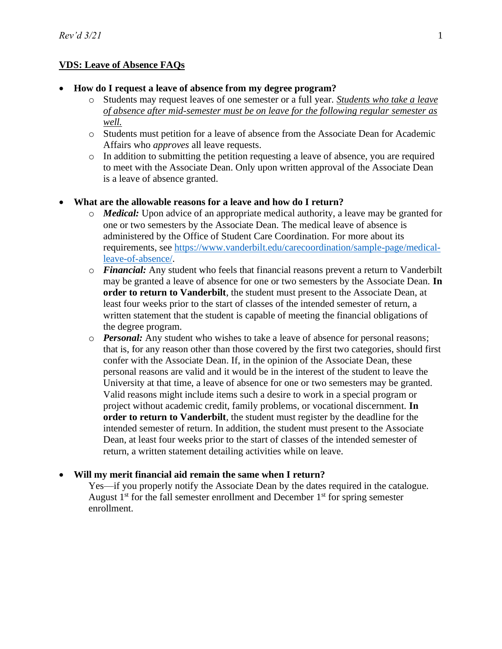# **VDS: Leave of Absence FAQs**

#### • **How do I request a leave of absence from my degree program?**

- o Students may request leaves of one semester or a full year. *Students who take a leave of absence after mid-semester must be on leave for the following regular semester as well.*
- o Students must petition for a leave of absence from the Associate Dean for Academic Affairs who *approves* all leave requests.
- o In addition to submitting the petition requesting a leave of absence, you are required to meet with the Associate Dean. Only upon written approval of the Associate Dean is a leave of absence granted.

#### • **What are the allowable reasons for a leave and how do I return?**

- o *Medical:* Upon advice of an appropriate medical authority, a leave may be granted for one or two semesters by the Associate Dean. The medical leave of absence is administered by the Office of Student Care Coordination. For more about its requirements, see [https://www.vanderbilt.edu/carecoordination/sample-page/medical](https://www.vanderbilt.edu/carecoordination/sample-page/medical-leave-of-absence/)[leave-of-absence/.](https://www.vanderbilt.edu/carecoordination/sample-page/medical-leave-of-absence/)
- o *Financial:* Any student who feels that financial reasons prevent a return to Vanderbilt may be granted a leave of absence for one or two semesters by the Associate Dean. **In order to return to Vanderbilt**, the student must present to the Associate Dean, at least four weeks prior to the start of classes of the intended semester of return, a written statement that the student is capable of meeting the financial obligations of the degree program.
- o *Personal:* Any student who wishes to take a leave of absence for personal reasons; that is, for any reason other than those covered by the first two categories, should first confer with the Associate Dean. If, in the opinion of the Associate Dean, these personal reasons are valid and it would be in the interest of the student to leave the University at that time, a leave of absence for one or two semesters may be granted. Valid reasons might include items such a desire to work in a special program or project without academic credit, family problems, or vocational discernment. **In order to return to Vanderbilt**, the student must register by the deadline for the intended semester of return. In addition, the student must present to the Associate Dean, at least four weeks prior to the start of classes of the intended semester of return, a written statement detailing activities while on leave.

#### • **Will my merit financial aid remain the same when I return?**

Yes—if you properly notify the Associate Dean by the dates required in the catalogue. August  $1<sup>st</sup>$  for the fall semester enrollment and December  $1<sup>st</sup>$  for spring semester enrollment.